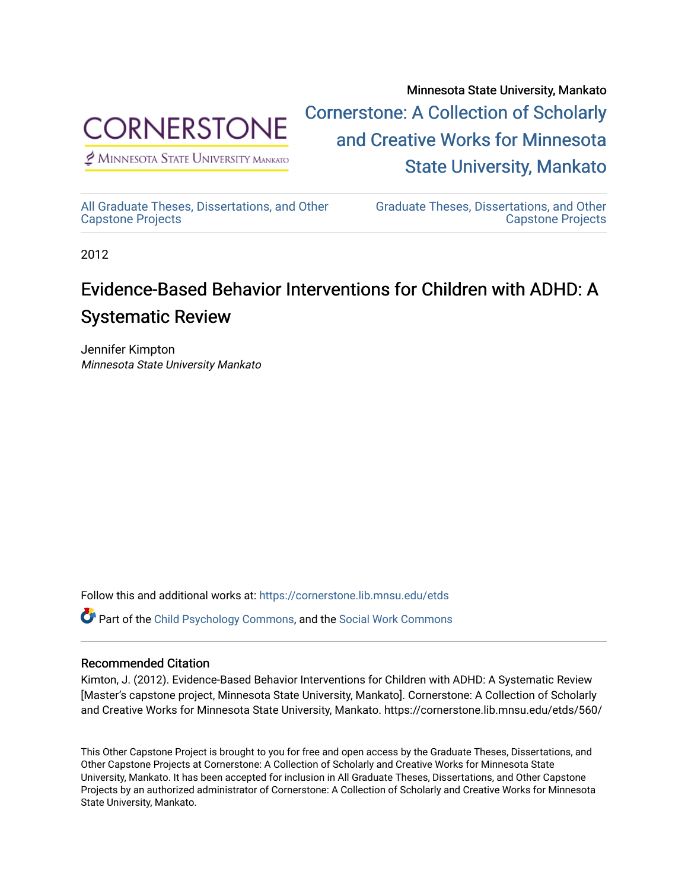

 $<sup>2</sup>$  Minnesota State University Mankato</sup>

Minnesota State University, Mankato [Cornerstone: A Collection of Scholarly](https://cornerstone.lib.mnsu.edu/)  [and Creative Works for Minnesota](https://cornerstone.lib.mnsu.edu/)  [State University, Mankato](https://cornerstone.lib.mnsu.edu/) 

[All Graduate Theses, Dissertations, and Other](https://cornerstone.lib.mnsu.edu/etds)  [Capstone Projects](https://cornerstone.lib.mnsu.edu/etds) 

[Graduate Theses, Dissertations, and Other](https://cornerstone.lib.mnsu.edu/theses_dissertations-capstone)  [Capstone Projects](https://cornerstone.lib.mnsu.edu/theses_dissertations-capstone) 

2012

#### Evidence-Based Behavior Interventions for Children with ADHD: A Systematic Review

Jennifer Kimpton Minnesota State University Mankato

Follow this and additional works at: [https://cornerstone.lib.mnsu.edu/etds](https://cornerstone.lib.mnsu.edu/etds?utm_source=cornerstone.lib.mnsu.edu%2Fetds%2F560&utm_medium=PDF&utm_campaign=PDFCoverPages)  Part of the [Child Psychology Commons,](http://network.bepress.com/hgg/discipline/1023?utm_source=cornerstone.lib.mnsu.edu%2Fetds%2F560&utm_medium=PDF&utm_campaign=PDFCoverPages) and the [Social Work Commons](http://network.bepress.com/hgg/discipline/713?utm_source=cornerstone.lib.mnsu.edu%2Fetds%2F560&utm_medium=PDF&utm_campaign=PDFCoverPages) 

#### Recommended Citation

Kimton, J. (2012). Evidence-Based Behavior Interventions for Children with ADHD: A Systematic Review [Master's capstone project, Minnesota State University, Mankato]. Cornerstone: A Collection of Scholarly and Creative Works for Minnesota State University, Mankato. https://cornerstone.lib.mnsu.edu/etds/560/

This Other Capstone Project is brought to you for free and open access by the Graduate Theses, Dissertations, and Other Capstone Projects at Cornerstone: A Collection of Scholarly and Creative Works for Minnesota State University, Mankato. It has been accepted for inclusion in All Graduate Theses, Dissertations, and Other Capstone Projects by an authorized administrator of Cornerstone: A Collection of Scholarly and Creative Works for Minnesota State University, Mankato.